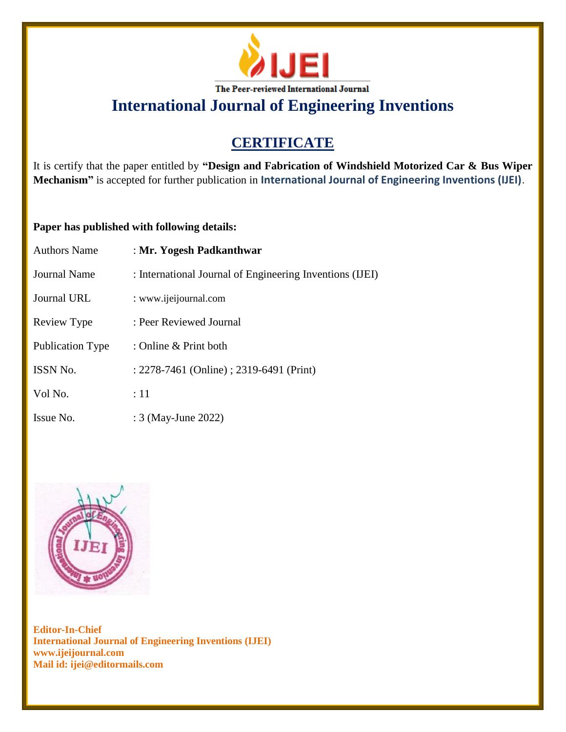

# **CERTIFICATE**

It is certify that the paper entitled by **"Design and Fabrication of Windshield Motorized Car & Bus Wiper Mechanism"** is accepted for further publication in **International Journal of Engineering Inventions (IJEI)**.

### **Paper has published with following details:**

| <b>Authors Name</b>     | : Mr. Yogesh Padkanthwar                                 |
|-------------------------|----------------------------------------------------------|
| Journal Name            | : International Journal of Engineering Inventions (IJEI) |
| Journal URL             | : www.ijeijournal.com                                    |
| Review Type             | : Peer Reviewed Journal                                  |
| <b>Publication Type</b> | : Online & Print both                                    |
| ISSN No.                | : 2278-7461 (Online) ; 2319-6491 (Print)                 |
| Vol No.                 | :11                                                      |
| Issue No.               | : 3 (May-June 2022)                                      |

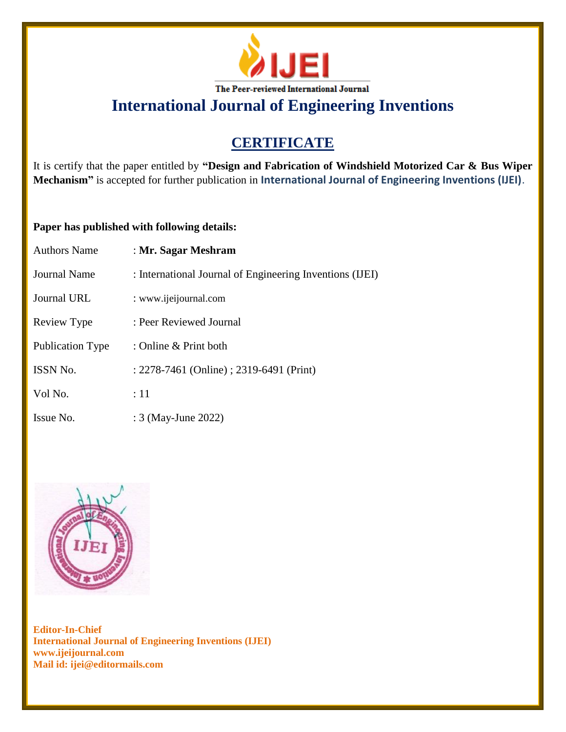

# **CERTIFICATE**

It is certify that the paper entitled by **"Design and Fabrication of Windshield Motorized Car & Bus Wiper Mechanism"** is accepted for further publication in **International Journal of Engineering Inventions (IJEI)**.

### **Paper has published with following details:**

| <b>Authors Name</b>     | : Mr. Sagar Meshram                                      |
|-------------------------|----------------------------------------------------------|
| <b>Journal Name</b>     | : International Journal of Engineering Inventions (IJEI) |
| <b>Journal URL</b>      | : www.ijeijournal.com                                    |
| Review Type             | : Peer Reviewed Journal                                  |
| <b>Publication Type</b> | : Online & Print both                                    |
| <b>ISSN No.</b>         | : 2278-7461 (Online) ; 2319-6491 (Print)                 |
| Vol No.                 | :11                                                      |
| Issue No.               | : 3 (May-June 2022)                                      |

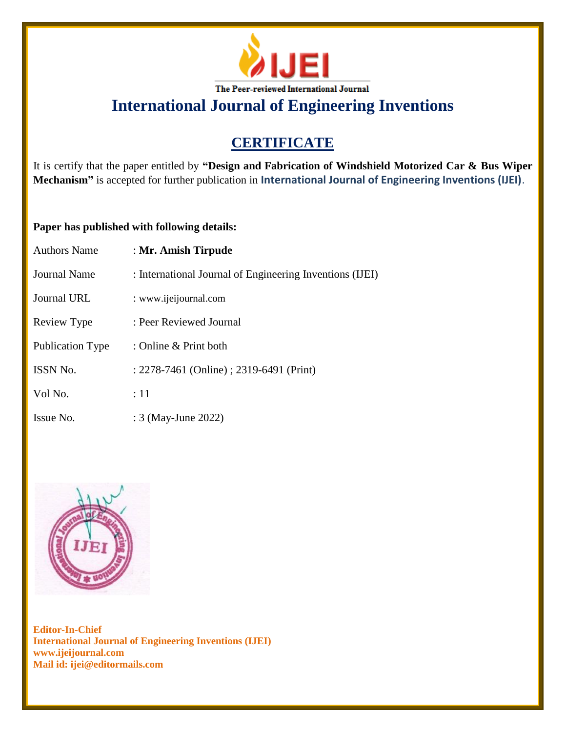

# **CERTIFICATE**

It is certify that the paper entitled by **"Design and Fabrication of Windshield Motorized Car & Bus Wiper Mechanism"** is accepted for further publication in **International Journal of Engineering Inventions (IJEI)**.

## **Paper has published with following details:**

| <b>Authors Name</b>     | : Mr. Amish Tirpude                                      |
|-------------------------|----------------------------------------------------------|
| <b>Journal Name</b>     | : International Journal of Engineering Inventions (IJEI) |
| <b>Journal URL</b>      | : www.ijeijournal.com                                    |
| Review Type             | : Peer Reviewed Journal                                  |
| <b>Publication Type</b> | : Online & Print both                                    |
| <b>ISSN No.</b>         | : 2278-7461 (Online) ; 2319-6491 (Print)                 |
| Vol No.                 | :11                                                      |
| Issue No.               | : 3 (May-June 2022)                                      |

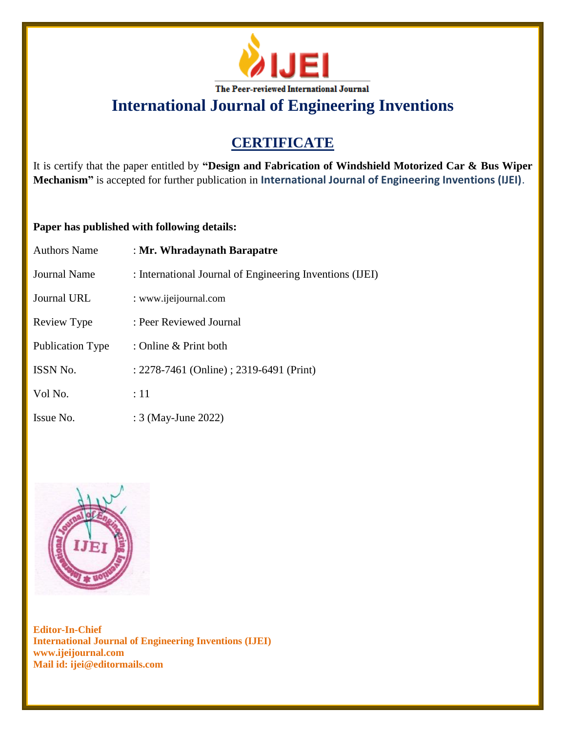

# **CERTIFICATE**

It is certify that the paper entitled by **"Design and Fabrication of Windshield Motorized Car & Bus Wiper Mechanism"** is accepted for further publication in **International Journal of Engineering Inventions (IJEI)**.

### **Paper has published with following details:**

| <b>Authors Name</b>     | : Mr. Whradaynath Barapatre                              |
|-------------------------|----------------------------------------------------------|
| <b>Journal Name</b>     | : International Journal of Engineering Inventions (IJEI) |
| Journal URL             | : www.ijeijournal.com                                    |
| Review Type             | : Peer Reviewed Journal                                  |
| <b>Publication Type</b> | : Online & Print both                                    |
| <b>ISSN No.</b>         | : 2278-7461 (Online) ; 2319-6491 (Print)                 |
| Vol No.                 | :11                                                      |
| Issue No.               | : 3 (May-June 2022)                                      |

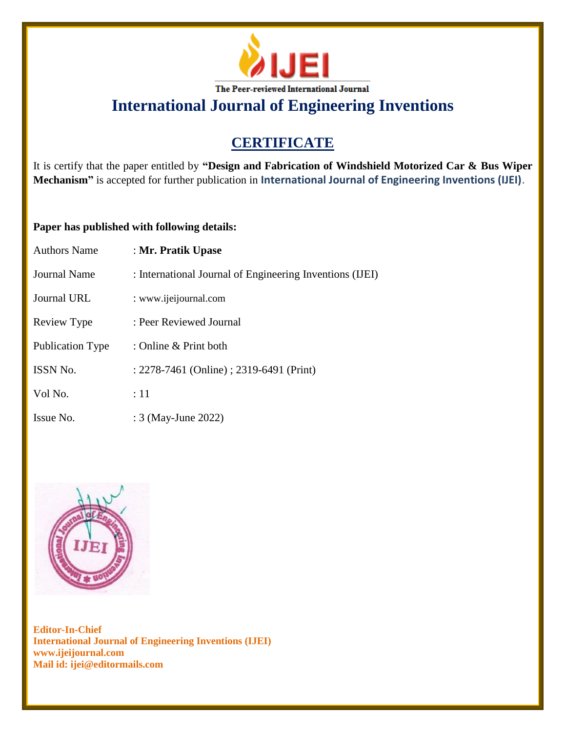

# **CERTIFICATE**

It is certify that the paper entitled by **"Design and Fabrication of Windshield Motorized Car & Bus Wiper Mechanism"** is accepted for further publication in **International Journal of Engineering Inventions (IJEI)**.

## **Paper has published with following details:**

| <b>Authors Name</b>     | : Mr. Pratik Upase                                       |
|-------------------------|----------------------------------------------------------|
| <b>Journal Name</b>     | : International Journal of Engineering Inventions (IJEI) |
| Journal URL             | : www.ijeijournal.com                                    |
| Review Type             | : Peer Reviewed Journal                                  |
| <b>Publication Type</b> | : Online & Print both                                    |
| ISSN No.                | : 2278-7461 (Online) ; 2319-6491 (Print)                 |
| Vol No.                 | $\therefore$ 11                                          |
| Issue No.               | : 3 (May-June 2022)                                      |

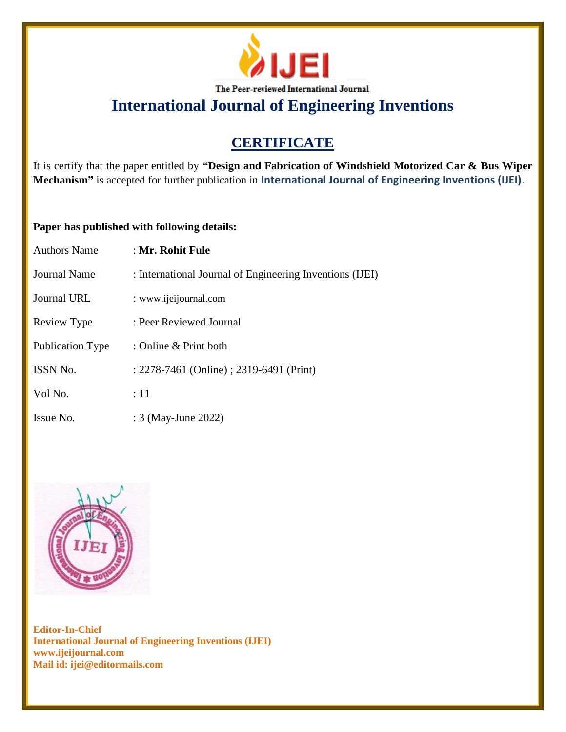

# **CERTIFICATE**

It is certify that the paper entitled by **"Design and Fabrication of Windshield Motorized Car & Bus Wiper Mechanism"** is accepted for further publication in **International Journal of Engineering Inventions (IJEI)**.

## **Paper has published with following details:**

| <b>Authors Name</b>     | : Mr. Rohit Fule                                         |
|-------------------------|----------------------------------------------------------|
| Journal Name            | : International Journal of Engineering Inventions (IJEI) |
| <b>Journal URL</b>      | : www.ijeijournal.com                                    |
| Review Type             | : Peer Reviewed Journal                                  |
| <b>Publication Type</b> | : Online & Print both                                    |
| <b>ISSN No.</b>         | : 2278-7461 (Online) ; 2319-6491 (Print)                 |
| Vol No.                 | :11                                                      |
| Issue No.               | : 3 (May-June 2022)                                      |